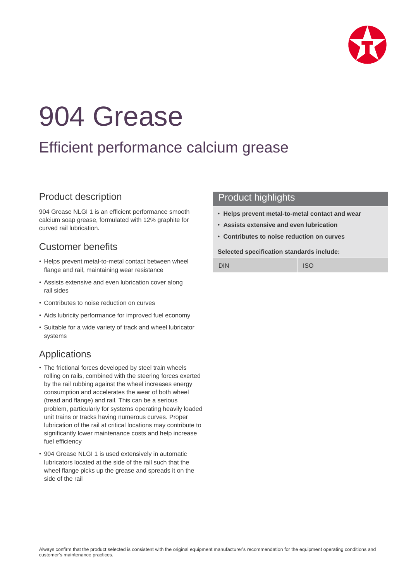

# 904 Grease

## Efficient performance calcium grease

## Product description

904 Grease NLGI 1 is an efficient performance smooth calcium soap grease, formulated with 12% graphite for curved rail lubrication.

## Customer benefits

- Helps prevent metal-to-metal contact between wheel flange and rail, maintaining wear resistance
- Assists extensive and even lubrication cover along rail sides
- Contributes to noise reduction on curves
- Aids lubricity performance for improved fuel economy
- Suitable for a wide variety of track and wheel lubricator systems

## Applications

- The frictional forces developed by steel train wheels rolling on rails, combined with the steering forces exerted by the rail rubbing against the wheel increases energy consumption and accelerates the wear of both wheel (tread and flange) and rail. This can be a serious problem, particularly for systems operating heavily loaded unit trains or tracks having numerous curves. Proper lubrication of the rail at critical locations may contribute to significantly lower maintenance costs and help increase fuel efficiency
- 904 Grease NLGI 1 is used extensively in automatic lubricators located at the side of the rail such that the wheel flange picks up the grease and spreads it on the side of the rail

### Product highlights

- **Helps prevent metal-to-metal contact and wear**
- **Assists extensive and even lubrication**
- **Contributes to noise reduction on curves**

#### **Selected specification standards include:**

DIN ISO